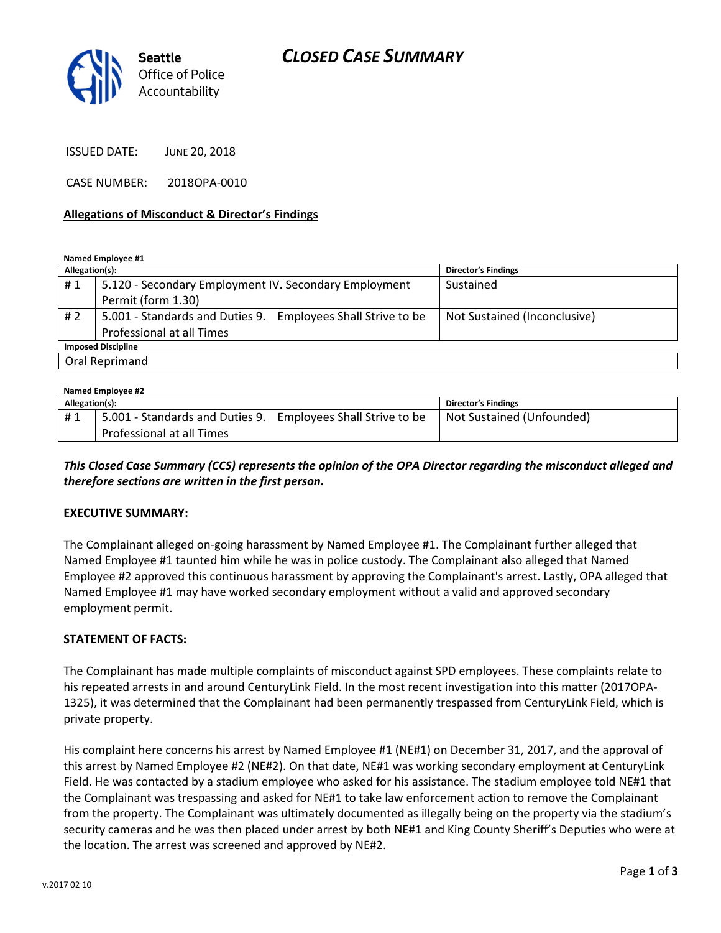

ISSUED DATE: JUNE 20, 2018

CASE NUMBER: 2018OPA-0010

#### Allegations of Misconduct & Director's Findings

Named Employee #1

| Allegation(s):            |                                                                 | <b>Director's Findings</b>   |  |
|---------------------------|-----------------------------------------------------------------|------------------------------|--|
| #1                        | 5.120 - Secondary Employment IV. Secondary Employment           | Sustained                    |  |
|                           | Permit (form 1.30)                                              |                              |  |
| #2                        | 5.001 - Standards and Duties 9.<br>Employees Shall Strive to be | Not Sustained (Inconclusive) |  |
|                           | Professional at all Times                                       |                              |  |
| <b>Imposed Discipline</b> |                                                                 |                              |  |
| Oral Reprimand            |                                                                 |                              |  |

| Named Employee #2 |                                                                                           |  |                            |  |
|-------------------|-------------------------------------------------------------------------------------------|--|----------------------------|--|
| Allegation(s):    |                                                                                           |  | <b>Director's Findings</b> |  |
| #1                | 5.001 - Standards and Duties 9. Employees Shall Strive to be<br>Professional at all Times |  | Not Sustained (Unfounded)  |  |

This Closed Case Summary (CCS) represents the opinion of the OPA Director regarding the misconduct alleged and therefore sections are written in the first person.

#### EXECUTIVE SUMMARY:

The Complainant alleged on-going harassment by Named Employee #1. The Complainant further alleged that Named Employee #1 taunted him while he was in police custody. The Complainant also alleged that Named Employee #2 approved this continuous harassment by approving the Complainant's arrest. Lastly, OPA alleged that Named Employee #1 may have worked secondary employment without a valid and approved secondary employment permit.

#### STATEMENT OF FACTS:

The Complainant has made multiple complaints of misconduct against SPD employees. These complaints relate to his repeated arrests in and around CenturyLink Field. In the most recent investigation into this matter (2017OPA-1325), it was determined that the Complainant had been permanently trespassed from CenturyLink Field, which is private property.

His complaint here concerns his arrest by Named Employee #1 (NE#1) on December 31, 2017, and the approval of this arrest by Named Employee #2 (NE#2). On that date, NE#1 was working secondary employment at CenturyLink Field. He was contacted by a stadium employee who asked for his assistance. The stadium employee told NE#1 that the Complainant was trespassing and asked for NE#1 to take law enforcement action to remove the Complainant from the property. The Complainant was ultimately documented as illegally being on the property via the stadium's security cameras and he was then placed under arrest by both NE#1 and King County Sheriff's Deputies who were at the location. The arrest was screened and approved by NE#2.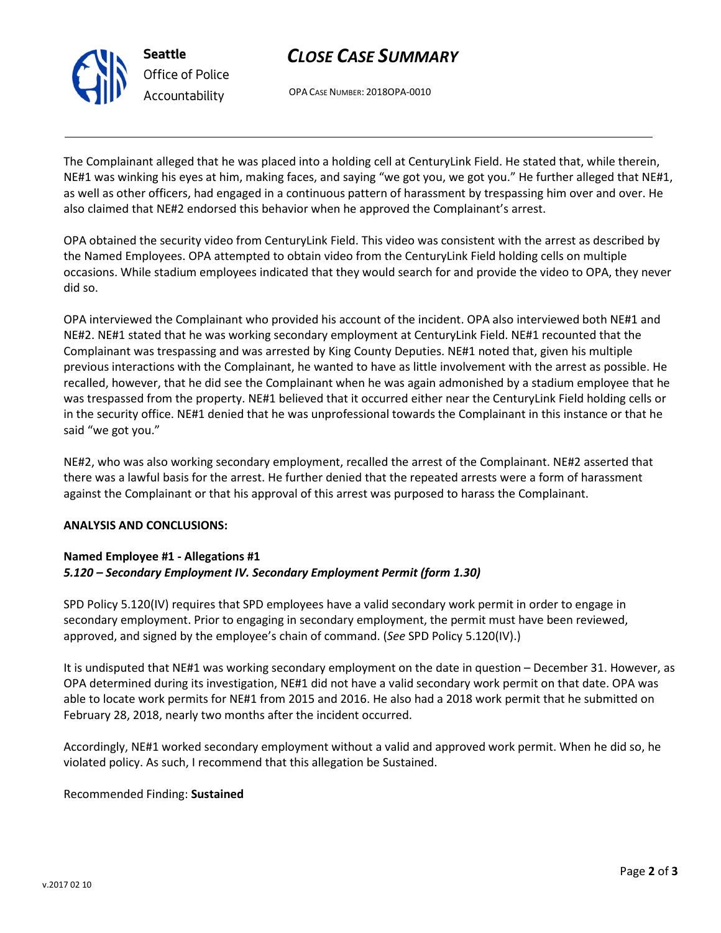

# CLOSE CASE SUMMARY

OPA CASE NUMBER: 2018OPA-0010

The Complainant alleged that he was placed into a holding cell at CenturyLink Field. He stated that, while therein, NE#1 was winking his eyes at him, making faces, and saying "we got you, we got you." He further alleged that NE#1, as well as other officers, had engaged in a continuous pattern of harassment by trespassing him over and over. He also claimed that NE#2 endorsed this behavior when he approved the Complainant's arrest.

OPA obtained the security video from CenturyLink Field. This video was consistent with the arrest as described by the Named Employees. OPA attempted to obtain video from the CenturyLink Field holding cells on multiple occasions. While stadium employees indicated that they would search for and provide the video to OPA, they never did so.

OPA interviewed the Complainant who provided his account of the incident. OPA also interviewed both NE#1 and NE#2. NE#1 stated that he was working secondary employment at CenturyLink Field. NE#1 recounted that the Complainant was trespassing and was arrested by King County Deputies. NE#1 noted that, given his multiple previous interactions with the Complainant, he wanted to have as little involvement with the arrest as possible. He recalled, however, that he did see the Complainant when he was again admonished by a stadium employee that he was trespassed from the property. NE#1 believed that it occurred either near the CenturyLink Field holding cells or in the security office. NE#1 denied that he was unprofessional towards the Complainant in this instance or that he said "we got you."

NE#2, who was also working secondary employment, recalled the arrest of the Complainant. NE#2 asserted that there was a lawful basis for the arrest. He further denied that the repeated arrests were a form of harassment against the Complainant or that his approval of this arrest was purposed to harass the Complainant.

### ANALYSIS AND CONCLUSIONS:

## Named Employee #1 - Allegations #1 5.120 – Secondary Employment IV. Secondary Employment Permit (form 1.30)

SPD Policy 5.120(IV) requires that SPD employees have a valid secondary work permit in order to engage in secondary employment. Prior to engaging in secondary employment, the permit must have been reviewed, approved, and signed by the employee's chain of command. (See SPD Policy 5.120(IV).)

It is undisputed that NE#1 was working secondary employment on the date in question – December 31. However, as OPA determined during its investigation, NE#1 did not have a valid secondary work permit on that date. OPA was able to locate work permits for NE#1 from 2015 and 2016. He also had a 2018 work permit that he submitted on February 28, 2018, nearly two months after the incident occurred.

Accordingly, NE#1 worked secondary employment without a valid and approved work permit. When he did so, he violated policy. As such, I recommend that this allegation be Sustained.

### Recommended Finding: Sustained